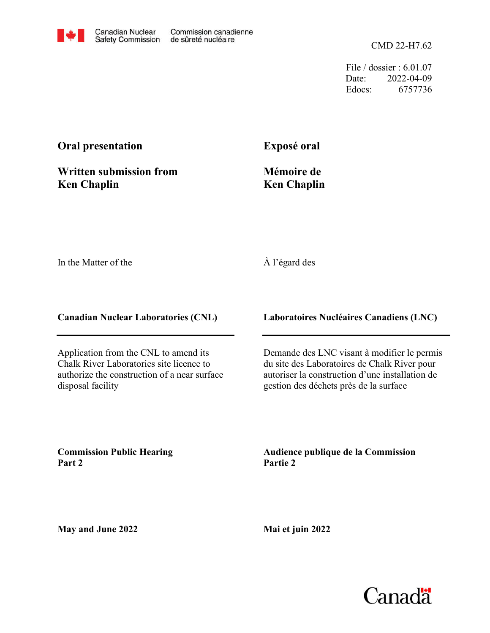CMD 22-H7.62

File / dossier : 6.01.07 Date: 2022-04-09 Edocs: 6757736

## **Oral presentation**

**Written submission from Ken Chaplin**

**Exposé oral**

## **Mémoire de Ken Chaplin**

In the Matter of the

## À l'égard des

**Canadian Nuclear Laboratories (CNL)**

Application from the CNL to amend its Chalk River Laboratories site licence to authorize the construction of a near surface disposal facility

**Laboratoires Nucléaires Canadiens (LNC)**

Demande des LNC visant à modifier le permis du site des Laboratoires de Chalk River pour autoriser la construction d'une installation de gestion des déchets près de la surface

**Commission Public Hearing Part 2**

**Audience publique de la Commission Partie 2**

**May and June 2022**

**Mai et juin 2022**

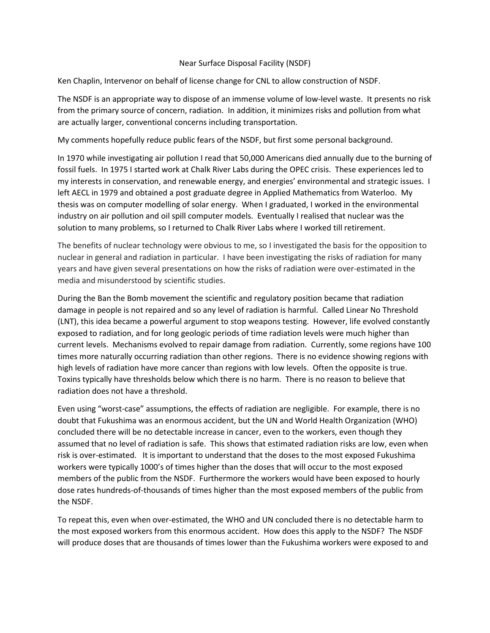## Near Surface Disposal Facility (NSDF)

Ken Chaplin, Intervenor [on behalf of licen](mailto:ken.chaplin@sympatico.ca)se change for CNL to allow construction of NSDF.

are actually larger, conventional concerns including transportation. from the primary source of concern, radiation. In addition, it minimizes risks and pollution from what The NSDF is an appropriate way to dispose of an immense volume of low-level waste. It presents no risk

My comments hopefully reduce public fears of the NSDF, but first some personal background.

 In 1970 while investigating air pollution I read that 50,000 Americans died annually due to the burning of solution to many problems, so I returned to Chalk River Labs where I worked till retirement. industry on air pollution and oil spill computer models. Eventually I realised that nuclear was the thesis was on computer modelling of solar energy. When I graduated, I worked in the environmental left AECL in 1979 and obtained a post graduate degree in Applied Mathematics from Waterloo. My my interests in conservation, and renewable energy, and energies' environmental and strategic issues. I fossil fuels. In 1975 I started work at Chalk River Labs during the OPEC crisis. These experiences led to

media and misunderstood by scientific studies. years and have given several presentations on how the risks of radiation were over-estimated in the nuclear in general and radiation in particular. I have been investigating the risks of radiation for many The benefits of nuclear technology were obvious to me, so I investigated the basis for the opposition to

radiation does not have a threshold. Toxins typically have thresholds below which there is no harm. There is no reason to believe that high levels of radiation have more cancer than regions with low levels. Often the opposite is true. times more naturally occurring radiation than other regions. There is no evidence showing regions with current levels. Mechanisms evolved to repair damage from radiation. Currently, some regions have 100 exposed to radiation, and for long geologic periods of time radiation levels were much higher than (LNT), this idea became a powerful argument to stop weapons testing. However, life evolved constantly damage in people is not repaired and so any level of radiation is harmful. Called Linear No Threshold During the Ban the Bomb movement the scientific and regulatory position became that radiation

the NSDF. dose rates hundreds-of-thousands of times higher than the most exposed members of the public from members of the public from the NSDF. Furthermore the workers would have been exposed to hourly workers were typically 1000's of times higher than the doses that will occur to the most exposed risk is over-estimated. It is important to understand that the doses to the most exposed Fukushima assumed that no level of radiation is safe. This shows that estimated radiation risks are low, even when concluded there will be no detectable increase in cancer, even to the workers, even though they doubt that Fukushima was an enormous accident, but the UN and World Health Organization (WHO) Even using "worst-case" assumptions, the effects of radiation are negligible. For example, there is no

will produce doses that are thousands of times lower than the Fukushima workers were exposed to and the most exposed workers from this enormous accident. How does this apply to the NSDF? The NSDF To repeat this, even when over-estimated, the WHO and UN concluded there is no detectable harm to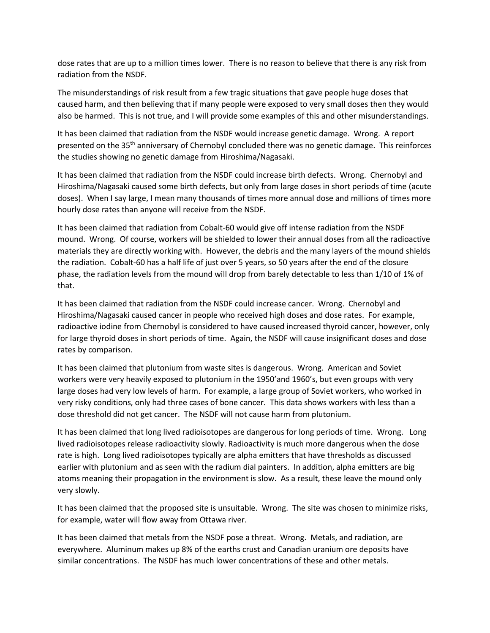dose rates that are up to a million times lower. There is no reason to believe that there is any risk from radiation from the NSDF.

The misunderstandings of risk result from a few tragic situations that gave people huge doses that caused harm, and then believing that if many people were exposed to very small doses then they would also be harmed. This is not true, and I will provide some examples of this and other misunderstandings.

It has been claimed that radiation from the NSDF would increase genetic damage. Wrong. A report presented on the 35<sup>th</sup> anniversary of Chernobyl concluded there was no genetic damage. This reinforces the studies showing no genetic damage from Hiroshima/Nagasaki.

It has been claimed that radiation from the NSDF could increase birth defects. Wrong. Chernobyl and Hiroshima/Nagasaki caused some birth defects, but only from large doses in short periods of time (acute doses). When I say large, I mean many thousands of times more annual dose and millions of times more hourly dose rates than anyone will receive from the NSDF.

It has been claimed that radiation from Cobalt-60 would give off intense radiation from the NSDF mound. Wrong. Of course, workers will be shielded to lower their annual doses from all the radioactive materials they are directly working with. However, the debris and the many layers of the mound shields the radiation. Cobalt-60 has a half life of just over 5 years, so 50 years after the end of the closure phase, the radiation levels from the mound will drop from barely detectable to less than 1/10 of 1% of that.

It has been claimed that radiation from the NSDF could increase cancer. Wrong. Chernobyl and Hiroshima/Nagasaki caused cancer in people who received high doses and dose rates. For example, radioactive iodine from Chernobyl is considered to have caused increased thyroid cancer, however, only for large thyroid doses in short periods of time. Again, the NSDF will cause insignificant doses and dose rates by comparison.

It has been claimed that plutonium from waste sites is dangerous. Wrong. American and Soviet workers were very heavily exposed to plutonium in the 1950'and 1960's, but even groups with very large doses had very low levels of harm. For example, a large group of Soviet workers, who worked in very risky conditions, only had three cases of bone cancer. This data shows workers with less than a dose threshold did not get cancer. The NSDF will not cause harm from plutonium.

It has been claimed that long lived radioisotopes are dangerous for long periods of time. Wrong. Long lived radioisotopes release radioactivity slowly. Radioactivity is much more dangerous when the dose rate is high. Long lived radioisotopes typically are alpha emitters that have thresholds as discussed earlier with plutonium and as seen with the radium dial painters. In addition, alpha emitters are big atoms meaning their propagation in the environment is slow. As a result, these leave the mound only very slowly.

It has been claimed that the proposed site is unsuitable. Wrong. The site was chosen to minimize risks, for example, water will flow away from Ottawa river.

It has been claimed that metals from the NSDF pose a threat. Wrong. Metals, and radiation, are everywhere. Aluminum makes up 8% of the earths crust and Canadian uranium ore deposits have similar concentrations. The NSDF has much lower concentrations of these and other metals.